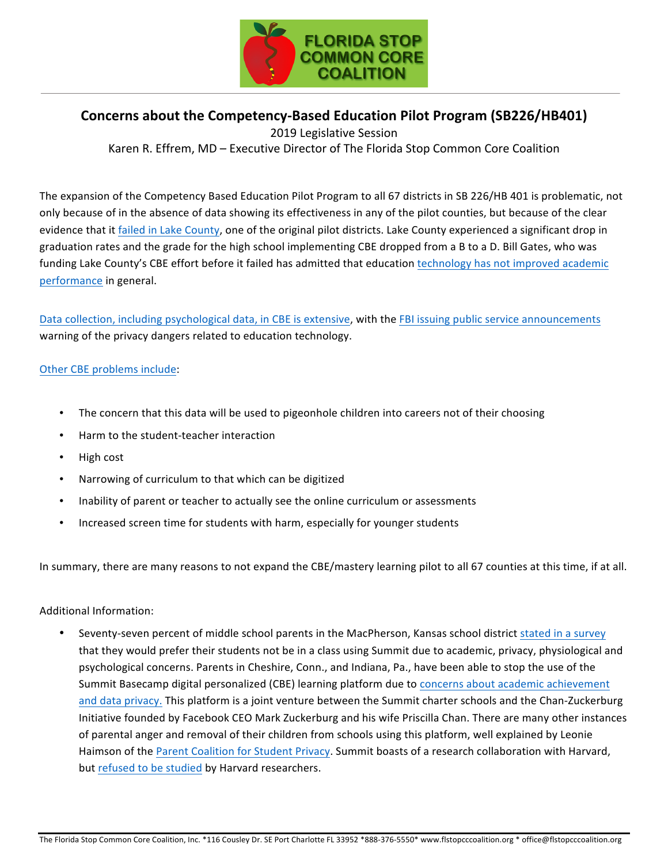

## **Concerns about the Competency-Based Education Pilot Program (SB226/HB401)**

2019 Legislative Session Karen R. Effrem, MD – Executive Director of The Florida Stop Common Core Coalition

The expansion of the Competency Based Education Pilot Program to all 67 districts in SB 226/HB 401 is problematic, not only because of in the absence of data showing its effectiveness in any of the pilot counties, but because of the clear evidence that it failed in Lake County, one of the original pilot districts. Lake County experienced a significant drop in graduation rates and the grade for the high school implementing CBE dropped from a B to a D. Bill Gates, who was funding Lake County's CBE effort before it failed has admitted that education technology has not improved academic performance in general.

Data collection, including psychological data, in CBE is extensive, with the FBI issuing public service announcements warning of the privacy dangers related to education technology.

## Other CBE problems include:

- The concern that this data will be used to pigeonhole children into careers not of their choosing
- Harm to the student-teacher interaction
- High cost
- Narrowing of curriculum to that which can be digitized
- Inability of parent or teacher to actually see the online curriculum or assessments
- Increased screen time for students with harm, especially for younger students

In summary, there are many reasons to not expand the CBE/mastery learning pilot to all 67 counties at this time, if at all.

## Additional Information:

Seventy-seven percent of middle school parents in the MacPherson, Kansas school district stated in a survey that they would prefer their students not be in a class using Summit due to academic, privacy, physiological and psychological concerns. Parents in Cheshire, Conn., and Indiana, Pa., have been able to stop the use of the Summit Basecamp digital personalized (CBE) learning platform due to concerns about academic achievement and data privacy. This platform is a joint venture between the Summit charter schools and the Chan-Zuckerburg Initiative founded by Facebook CEO Mark Zuckerburg and his wife Priscilla Chan. There are many other instances of parental anger and removal of their children from schools using this platform, well explained by Leonie Haimson of the Parent Coalition for Student Privacy. Summit boasts of a research collaboration with Harvard, but refused to be studied by Harvard researchers.